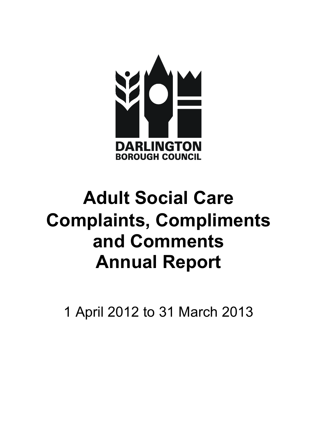

# Adult Social Care Annual Report Complaints, Compliments and Comments

1 April 2012 to 31 March 2013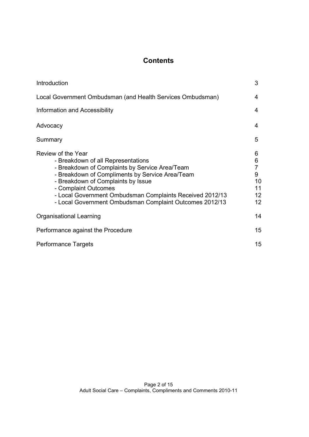# **Contents**

| Introduction                                                                                                                                                                                                                                                                                                                                       | 3                                                                               |
|----------------------------------------------------------------------------------------------------------------------------------------------------------------------------------------------------------------------------------------------------------------------------------------------------------------------------------------------------|---------------------------------------------------------------------------------|
| Local Government Ombudsman (and Health Services Ombudsman)                                                                                                                                                                                                                                                                                         | 4                                                                               |
| Information and Accessibility                                                                                                                                                                                                                                                                                                                      | 4                                                                               |
| Advocacy                                                                                                                                                                                                                                                                                                                                           | 4                                                                               |
| Summary                                                                                                                                                                                                                                                                                                                                            | 5                                                                               |
| Review of the Year<br>- Breakdown of all Representations<br>- Breakdown of Complaints by Service Area/Team<br>- Breakdown of Compliments by Service Area/Team<br>- Breakdown of Complaints by Issue<br>- Complaint Outcomes<br>- Local Government Ombudsman Complaints Received 2012/13<br>- Local Government Ombudsman Complaint Outcomes 2012/13 | 6<br>6<br>$\overline{7}$<br>9<br>10<br>11<br>12 <sub>2</sub><br>12 <sup>2</sup> |
| Organisational Learning                                                                                                                                                                                                                                                                                                                            | 14                                                                              |
| Performance against the Procedure                                                                                                                                                                                                                                                                                                                  | 15 <sup>15</sup>                                                                |
| <b>Performance Targets</b>                                                                                                                                                                                                                                                                                                                         | 15                                                                              |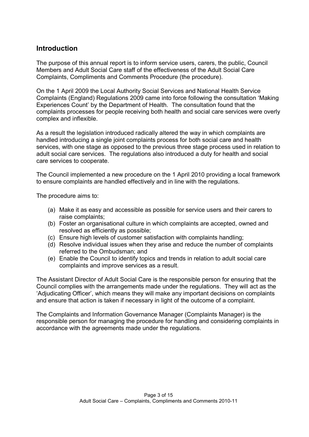### Introduction

 The purpose of this annual report is to inform service users, carers, the public, Council Members and Adult Social Care staff of the effectiveness of the Adult Social Care Complaints, Compliments and Comments Procedure (the procedure).

 On the 1 April 2009 the Local Authority Social Services and National Health Service Complaints (England) Regulations 2009 came into force following the consultation 'Making Experiences Count' by the Department of Health. The consultation found that the complaints processes for people receiving both health and social care services were overly complex and inflexible.

 As a result the legislation introduced radically altered the way in which complaints are handled introducing a single joint complaints process for both social care and health services, with one stage as opposed to the previous three stage process used in relation to adult social care services. The regulations also introduced a duty for health and social care services to cooperate.

 The Council implemented a new procedure on the 1 April 2010 providing a local framework to ensure complaints are handled effectively and in line with the regulations.

The procedure aims to:

- (a) Make it as easy and accessible as possible for service users and their carers to raise complaints;
- (b) Foster an organisational culture in which complaints are accepted, owned and resolved as efficiently as possible;
- (c) Ensure high levels of customer satisfaction with complaints handling;
- (d) Resolve individual issues when they arise and reduce the number of complaints referred to the Ombudsman; and
- (e) Enable the Council to identify topics and trends in relation to adult social care complaints and improve services as a result.

 The Assistant Director of Adult Social Care is the responsible person for ensuring that the Council complies with the arrangements made under the regulations. They will act as the 'Adjudicating Officer', which means they will make any important decisions on complaints and ensure that action is taken if necessary in light of the outcome of a complaint.

 The Complaints and Information Governance Manager (Complaints Manager) is the responsible person for managing the procedure for handling and considering complaints in accordance with the agreements made under the regulations.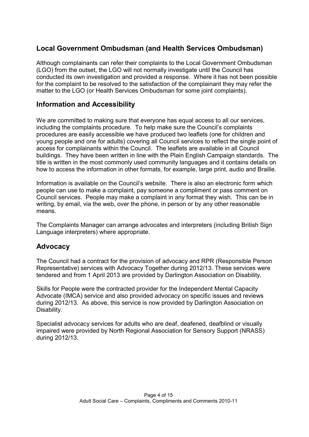# Local Government Ombudsman (and Health Services Ombudsman)

 Although complainants can refer their complaints to the Local Government Ombudsman (LGO) from the outset, the LGO will not normally investigate until the Council has conducted its own investigation and provided a response. Where it has not been possible for the complaint to be resolved to the satisfaction of the complainant they may refer the matter to the LGO (or Health Services Ombudsman for some joint complaints).

## Information and Accessibility

 We are committed to making sure that everyone has equal access to all our services, including the complaints procedure. To help make sure the Council's complaints procedures are easily accessible we have produced two leaflets (one for children and young people and one for adults) covering all Council services to reflect the single point of access for complainants within the Council. The leaflets are available in all Council buildings. They have been written in line with the Plain English Campaign standards. The title is written in the most commonly used community languages and it contains details on how to access the information in other formats, for example, large print, audio and Braille.

 Information is available on the Council's website. There is also an electronic form which people can use to make a complaint, pay someone a compliment or pass comment on Council services. People may make a complaint in any format they wish. This can be in writing, by email, via the web, over the phone, in person or by any other reasonable means.

 The Complaints Manager can arrange advocates and interpreters (including British Sign Language interpreters) where appropriate.

## Advocacy

 The Council had a contract for the provision of advocacy and RPR (Responsible Person Representative) services with Advocacy Together during 2012/13. These services were tendered and from 1 April 2013 are provided by Darlington Association on Disability.

 Skills for People were the contracted provider for the Independent Mental Capacity Advocate (IMCA) service and also provided advocacy on specific issues and reviews during 2012/13. As above, this service is now provided by Darlington Association on Disability.

 Specialist advocacy services for adults who are deaf, deafened, deafblind or visually impaired were provided by North Regional Association for Sensory Support (NRASS) during 2012/13.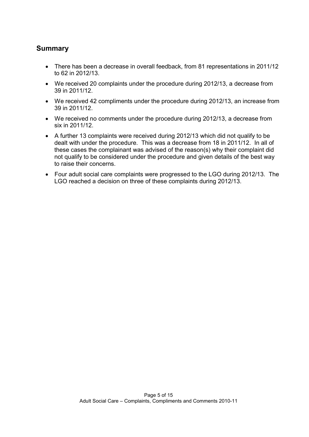## Summary

- There has been a decrease in overall feedback, from 81 representations in 2011/12 to 62 in 2012/13.
- We received 20 complaints under the procedure during 2012/13, a decrease from 39 in 2011/12.
- We received 42 compliments under the procedure during 2012/13, an increase from 39 in 2011/12.
- We received no comments under the procedure during 2012/13, a decrease from six in 2011/12.
- A further 13 complaints were received during 2012/13 which did not qualify to be dealt with under the procedure. This was a decrease from 18 in 2011/12. In all of these cases the complainant was advised of the reason(s) why their complaint did not qualify to be considered under the procedure and given details of the best way to raise their concerns.
- Four adult social care complaints were progressed to the LGO during 2012/13. The LGO reached a decision on three of these complaints during 2012/13.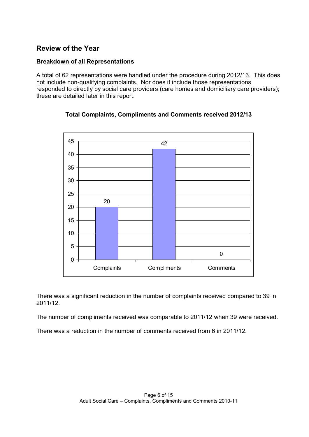## Review of the Year

#### Breakdown of all Representations

 A total of 62 representations were handled under the procedure during 2012/13. This does not include non-qualifying complaints. Nor does it include those representations responded to directly by social care providers (care homes and domiciliary care providers); these are detailed later in this report.



Total Complaints, Compliments and Comments received 2012/13

 There was a significant reduction in the number of complaints received compared to 39 in 2011/12.

The number of compliments received was comparable to 2011/12 when 39 were received.

There was a reduction in the number of comments received from 6 in 2011/12.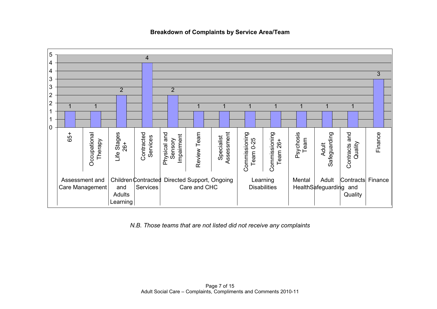5 44433 3222 2 1 1 1 1 1 1 1 1 111 $\Omega$ Commissioning<br>Team 26+ Life Stages<br>26+ Contracted<br>Services Physical and<br>Sensory<br>Impairment Specialist<br>Assessment Finance 65+ Occupational Review Team Commissioning Psychosis Safeguarding Contracts and **Occupational** Life Stages Contracted Physical and Review Team Assessment Commissioning Commissioning Safeguarding Contracts and Impairment Services Team Therapy Team 0-25 Team 0-25 Team 26+ Quality Adult Learning Assessment and Children Contracted Directed Support, Ongoing Mental Adult Contracts Finance and**Services Disabilities** Care Management Care and CHCHealth Safeguarding and Adults**Quality** Learning

Breakdown of Complaints by Service Area/Team

N.B. Those teams that are not listed did not receive any complaints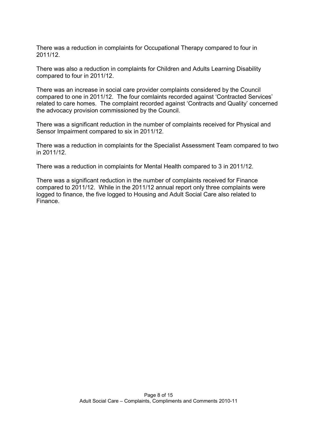There was a reduction in complaints for Occupational Therapy compared to four in 2011/12.

 There was also a reduction in complaints for Children and Adults Learning Disability compared to four in 2011/12.

 There was an increase in social care provider complaints considered by the Council compared to one in 2011/12. The four comlaints recorded against 'Contracted Services' related to care homes. The complaint recorded against 'Contracts and Quality' concerned the advocacy provision commissioned by the Council.

 There was a significant reduction in the number of complaints received for Physical and Sensor Impairment compared to six in 2011/12.

 There was a reduction in complaints for the Specialist Assessment Team compared to two in 2011/12.

There was a reduction in complaints for Mental Health compared to 3 in 2011/12.

 There was a significant reduction in the number of complaints received for Finance compared to 2011/12. While in the 2011/12 annual report only three complaints were logged to finance, the five logged to Housing and Adult Social Care also related to Finance.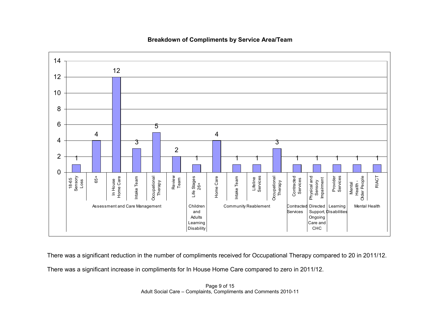

Breakdown of Compliments by Service Area/Team

There was <sup>a</sup> significant reduction in the number of compliments received for Occupational Therapy compared to 20 in 2011/12.

There was <sup>a</sup> significant increase in compliments for In House Home Care compared to zero in 2011/12.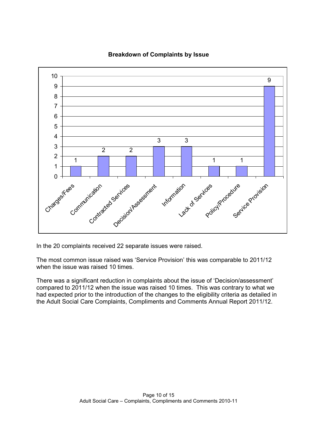

#### Breakdown of Complaints by Issue

In the 20 complaints received 22 separate issues were raised.

 The most common issue raised was 'Service Provision' this was comparable to 2011/12 when the issue was raised 10 times.

 There was a significant reduction in complaints about the issue of 'Decision/assessment' compared to 2011/12 when the issue was raised 10 times. This was contrary to what we had expected prior to the introduction of the changes to the eligibility criteria as detailed in the Adult Social Care Complaints, Compliments and Comments Annual Report 2011/12.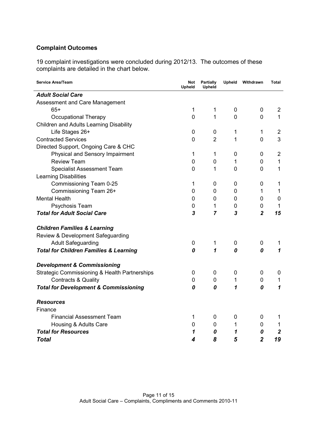#### Complaint Outcomes

complaint investigations were concluded during 2012/13. The outcomes of these are detailed in the chart below. 19 complaint investigations were concluded during 2012/13. The outcomes of these complaints are detailed in the chart below.

| <b>Service Area/Team</b>                                 | Not<br><b>Upheld</b> | Partially<br><b>Upheld</b> | <b>Upheld</b>  | Withdrawn      | <b>Total</b>   |
|----------------------------------------------------------|----------------------|----------------------------|----------------|----------------|----------------|
| <b>Adult Social Care</b>                                 |                      |                            |                |                |                |
| Assessment and Care Management                           |                      |                            |                |                |                |
| $65+$                                                    | 1                    | 1                          | 0              | 0              | $\overline{2}$ |
| Occupational Therapy                                     | $\overline{0}$       | $\mathbf{1}$               | $\overline{0}$ | 0              | $\mathbf{1}$   |
| <b>Children and Adults Learning Disability</b>           |                      |                            |                |                |                |
| Life Stages 26+                                          | 0                    | 0                          | 1              | 1              | $\overline{2}$ |
| <b>Contracted Services</b>                               | 0                    | $\overline{2}$             | 1              | 0              | 3              |
| Directed Support, Ongoing Care & CHC                     |                      |                            |                |                |                |
| Physical and Sensory Impairment                          | 1                    | $\mathbf 1$                | 0              | 0              | $\overline{2}$ |
| <b>Review Team</b>                                       | $\mathbf 0$          | 0                          | 1              | 0              | $\mathbf{1}$   |
| <b>Specialist Assessment Team</b>                        | 0                    | 1                          | 0              | 0              | $\mathbf{1}$   |
| <b>Learning Disabilities</b>                             |                      |                            |                |                |                |
| Commissioning Team 0-25                                  | 1                    | 0                          | 0              | 0              | 1              |
| Commissioning Team 26+                                   | 0                    | 0                          | 0              | 1              | $\mathbf{1}$   |
| <b>Mental Health</b>                                     | 0                    | 0                          | 0              | 0              | $\mathbf 0$    |
| Psychosis Team                                           | 0                    | 1                          | 0              | 0              | $\mathbf{1}$   |
| <b>Total for Adult Social Care</b>                       | 3                    | $\overline{7}$             | 3              | $\overline{2}$ | 15             |
| <b>Children Families &amp; Learning</b>                  |                      |                            |                |                |                |
| Review & Development Safeguarding                        |                      |                            |                |                |                |
| <b>Adult Safeguarding</b>                                | 0                    | 1                          | 0              | 0              | 1              |
| <b>Total for Children Families &amp; Learning</b>        | 0                    | 1                          | 0              | 0              | 1              |
| <b>Development &amp; Commissioning</b>                   |                      |                            |                |                |                |
| <b>Strategic Commissioning &amp; Health Partnerships</b> | 0                    | 0                          | $\mathbf 0$    | 0              | 0              |
| <b>Contracts &amp; Quality</b>                           | 0                    | 0                          | $\mathbf{1}$   | 0              | 1              |
| <b>Total for Development &amp; Commissioning</b>         | 0                    | 0                          | 1              | 0              | $\mathbf{1}$   |
| <b>Resources</b>                                         |                      |                            |                |                |                |
| Finance                                                  |                      |                            |                |                |                |
| <b>Financial Assessment Team</b>                         | 1                    | 0                          | 0              | 0              | 1              |
| Housing & Adults Care                                    | 0                    | 0                          | 1              | 0              | 1              |
| <b>Total for Resources</b>                               | 1                    | 0                          | 1              | 0              | $\overline{2}$ |
| <b>Total</b>                                             | 4                    | 8                          | 5              | $\overline{2}$ | 19             |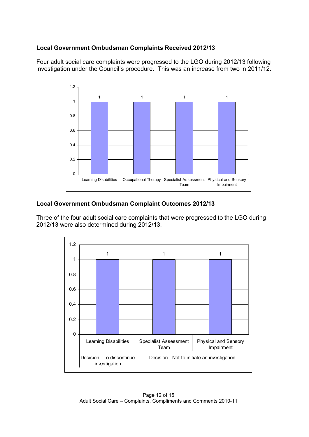#### Local Government Ombudsman Complaints Received 2012/13

 Four adult social care complaints were progressed to the LGO during 2012/13 following investigation under the Council's procedure. This was an increase from two in 2011/12.



#### Local Government Ombudsman Complaint Outcomes 2012/13

 Three of the four adult social care complaints that were progressed to the LGO during 2012/13 were also determined during 2012/13.

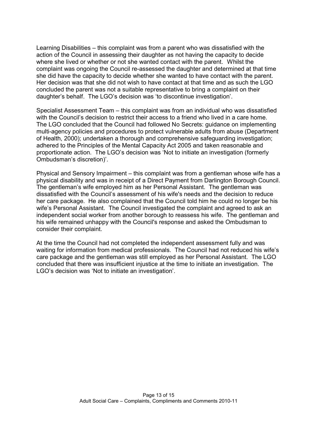Learning Disabilities – this complaint was from a parent who was dissatisfied with the action of the Council in assessing their daughter as not having the capacity to decide where she lived or whether or not she wanted contact with the parent. Whilst the complaint was ongoing the Council re-assessed the daughter and determined at that time she did have the capacity to decide whether she wanted to have contact with the parent. Her decision was that she did not wish to have contact at that time and as such the LGO concluded the parent was not a suitable representative to bring a complaint on their daughter's behalf. The LGO's decision was 'to discontinue investigation'.

 Specialist Assessment Team – this complaint was from an individual who was dissatisfied with the Council's decision to restrict their access to a friend who lived in a care home. The LGO concluded that the Council had followed No Secrets: guidance on implementing multi-agency policies and procedures to protect vulnerable adults from abuse (Department of Health, 2000); undertaken a thorough and comprehensive safeguarding investigation; adhered to the Principles of the Mental Capacity Act 2005 and taken reasonable and proportionate action. The LGO's decision was 'Not to initiate an investigation (formerly Ombudsman's discretion)'.

 Physical and Sensory Impairment – this complaint was from a gentleman whose wife has a physical disability and was in receipt of a Direct Payment from Darlington Borough Council. The gentleman's wife employed him as her Personal Assistant. The gentleman was dissatisfied with the Council's assessment of his wife's needs and the decision to reduce her care package. He also complained that the Council told him he could no longer be his wife's Personal Assistant. The Council investigated the complaint and agreed to ask an independent social worker from another borough to reassess his wife. The gentleman and his wife remained unhappy with the Council's response and asked the Ombudsman to consider their complaint.

 At the time the Council had not completed the independent assessment fully and was waiting for information from medical professionals. The Council had not reduced his wife's care package and the gentleman was still employed as her Personal Assistant. The LGO concluded that there was insufficient injustice at the time to initiate an investigation. The LGO's decision was 'Not to initiate an investigation'.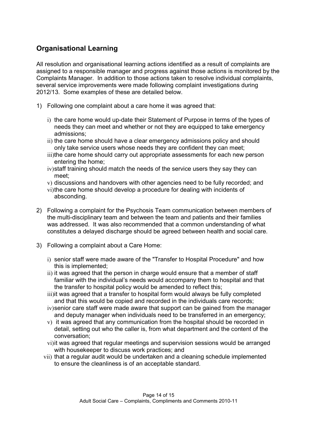# Organisational Learning

 All resolution and organisational learning actions identified as a result of complaints are assigned to a responsible manager and progress against those actions is monitored by the Complaints Manager. In addition to those actions taken to resolve individual complaints, several service improvements were made following complaint investigations during 2012/13. Some examples of these are detailed below.

- 1) Following one complaint about a care home it was agreed that:
	- i) the care home would up-date their Statement of Purpose in terms of the types of needs they can meet and whether or not they are equipped to take emergency admissions;
	- ii) the care home should have a clear emergency admissions policy and should only take service users whose needs they are confident they can meet;
	- iii)the care home should carry out appropriate assessments for each new person entering the home;
	- iv)staff training should match the needs of the service users they say they can meet;
	- v) discussions and handovers with other agencies need to be fully recorded; and
	- vi)the care home should develop a procedure for dealing with incidents of absconding.
- 2) Following a complaint for the Psychosis Team communication between members of the multi-disciplinary team and between the team and patients and their families was addressed. It was also recommended that a common understanding of what constitutes a delayed discharge should be agreed between health and social care.
- 3) Following a complaint about a Care Home:
	- i) senior staff were made aware of the "Transfer to Hospital Procedure" and how this is implemented;
	- ii) it was agreed that the person in charge would ensure that a member of staff familiar with the individual's needs would accompany them to hospital and that the transfer to hospital policy would be amended to reflect this;
	- iii)it was agreed that a transfer to hospital form would always be fully completed and that this would be copied and recorded in the individuals care records;
	- iv)senior care staff were made aware that support can be gained from the manager and deputy manager when individuals need to be transferred in an emergency;
	- v) it was agreed that any communication from the hospital should be recorded in detail, setting out who the caller is, from what department and the content of the conversation;
	- vi)it was agreed that regular meetings and supervision sessions would be arranged with housekeeper to discuss work practices; and
	- vii) that a regular audit would be undertaken and a cleaning schedule implemented to ensure the cleanliness is of an acceptable standard.